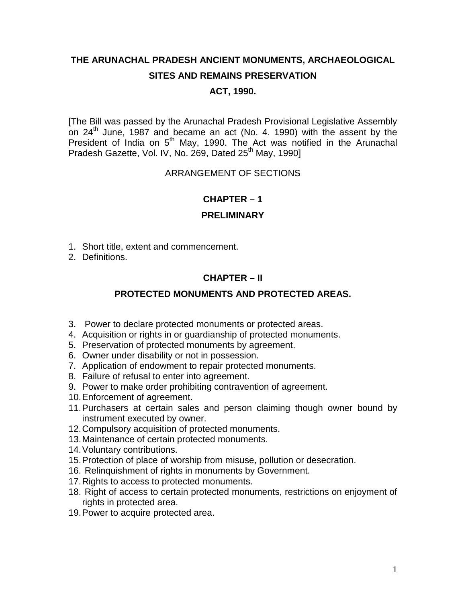# **THE ARUNACHAL PRADESH ANCIENT MONUMENTS, ARCHAEOLOGICAL SITES AND REMAINS PRESERVATION**

# **ACT, 1990.**

[The Bill was passed by the Arunachal Pradesh Provisional Legislative Assembly on  $24<sup>th</sup>$  June, 1987 and became an act (No. 4. 1990) with the assent by the President of India on 5<sup>th</sup> May, 1990. The Act was notified in the Arunachal Pradesh Gazette, Vol. IV, No. 269, Dated 25<sup>th</sup> May, 1990]

## ARRANGEMENT OF SECTIONS

#### **CHAPTER – 1**

#### **PRELIMINARY**

- 1. Short title, extent and commencement.
- 2. Definitions.

# **CHAPTER – II**

## **PROTECTED MONUMENTS AND PROTECTED AREAS.**

- 3. Power to declare protected monuments or protected areas.
- 4. Acquisition or rights in or guardianship of protected monuments.
- 5. Preservation of protected monuments by agreement.
- 6. Owner under disability or not in possession.
- 7. Application of endowment to repair protected monuments.
- 8. Failure of refusal to enter into agreement.
- 9. Power to make order prohibiting contravention of agreement.
- 10.Enforcement of agreement.
- 11.Purchasers at certain sales and person claiming though owner bound by instrument executed by owner.
- 12.Compulsory acquisition of protected monuments.
- 13.Maintenance of certain protected monuments.
- 14.Voluntary contributions.
- 15.Protection of place of worship from misuse, pollution or desecration.
- 16. Relinquishment of rights in monuments by Government.
- 17. Rights to access to protected monuments.
- 18. Right of access to certain protected monuments, restrictions on enjoyment of rights in protected area.
- 19.Power to acquire protected area.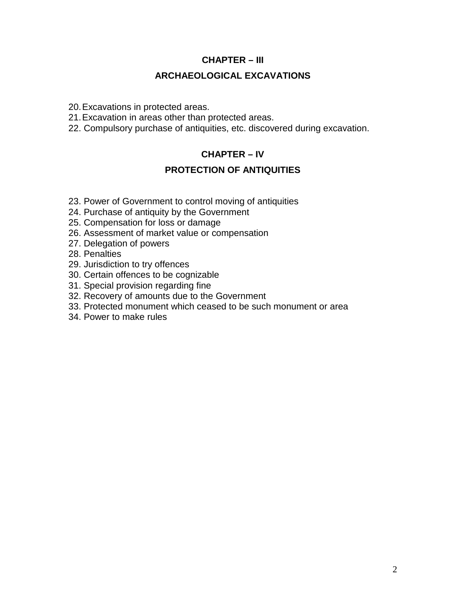## **CHAPTER – III**

### **ARCHAEOLOGICAL EXCAVATIONS**

20.Excavations in protected areas.

- 21.Excavation in areas other than protected areas.
- 22. Compulsory purchase of antiquities, etc. discovered during excavation.

# **CHAPTER – IV**

## **PROTECTION OF ANTIQUITIES**

- 23. Power of Government to control moving of antiquities
- 24. Purchase of antiquity by the Government
- 25. Compensation for loss or damage
- 26. Assessment of market value or compensation
- 27. Delegation of powers
- 28. Penalties
- 29. Jurisdiction to try offences
- 30. Certain offences to be cognizable
- 31. Special provision regarding fine
- 32. Recovery of amounts due to the Government
- 33. Protected monument which ceased to be such monument or area
- 34. Power to make rules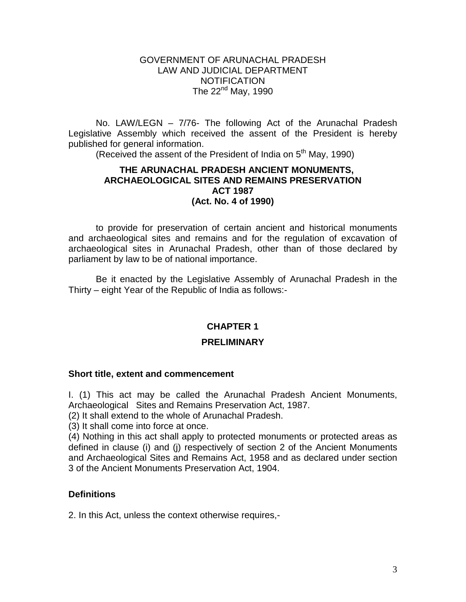#### GOVERNMENT OF ARUNACHAL PRADESH LAW AND JUDICIAL DEPARTMENT **NOTIFICATION** The  $22<sup>nd</sup>$  May, 1990

No. LAW/LEGN – 7/76- The following Act of the Arunachal Pradesh Legislative Assembly which received the assent of the President is hereby published for general information.

(Received the assent of the President of India on  $5<sup>th</sup>$  May, 1990)

#### **THE ARUNACHAL PRADESH ANCIENT MONUMENTS, ARCHAEOLOGICAL SITES AND REMAINS PRESERVATION ACT 1987 (Act. No. 4 of 1990)**

to provide for preservation of certain ancient and historical monuments and archaeological sites and remains and for the regulation of excavation of archaeological sites in Arunachal Pradesh, other than of those declared by parliament by law to be of national importance.

Be it enacted by the Legislative Assembly of Arunachal Pradesh in the Thirty – eight Year of the Republic of India as follows:-

### **CHAPTER 1**

#### **PRELIMINARY**

#### **Short title, extent and commencement**

I. (1) This act may be called the Arunachal Pradesh Ancient Monuments, Archaeological Sites and Remains Preservation Act, 1987.

(2) It shall extend to the whole of Arunachal Pradesh.

(3) It shall come into force at once.

(4) Nothing in this act shall apply to protected monuments or protected areas as defined in clause (i) and (j) respectively of section 2 of the Ancient Monuments and Archaeological Sites and Remains Act, 1958 and as declared under section 3 of the Ancient Monuments Preservation Act, 1904.

#### **Definitions**

2. In this Act, unless the context otherwise requires,-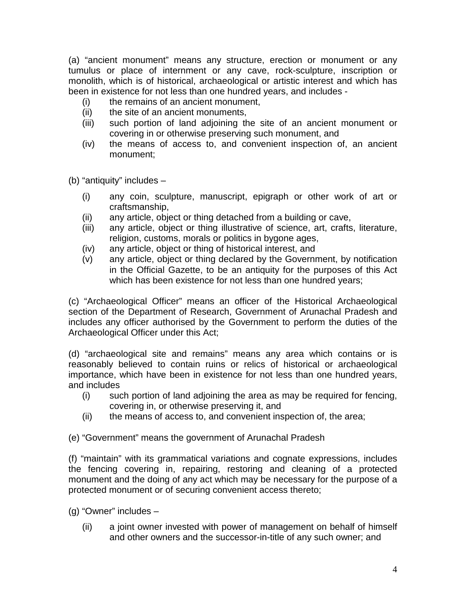(a) "ancient monument" means any structure, erection or monument or any tumulus or place of internment or any cave, rock-sculpture, inscription or monolith, which is of historical, archaeological or artistic interest and which has been in existence for not less than one hundred years, and includes -

- (i) the remains of an ancient monument,
- (ii) the site of an ancient monuments,
- (iii) such portion of land adjoining the site of an ancient monument or covering in or otherwise preserving such monument, and
- (iv) the means of access to, and convenient inspection of, an ancient monument;

(b) "antiquity" includes –

- (i) any coin, sculpture, manuscript, epigraph or other work of art or craftsmanship,
- (ii) any article, object or thing detached from a building or cave,
- (iii) any article, object or thing illustrative of science, art, crafts, literature, religion, customs, morals or politics in bygone ages,
- (iv) any article, object or thing of historical interest, and
- (v) any article, object or thing declared by the Government, by notification in the Official Gazette, to be an antiquity for the purposes of this Act which has been existence for not less than one hundred years;

(c) "Archaeological Officer" means an officer of the Historical Archaeological section of the Department of Research, Government of Arunachal Pradesh and includes any officer authorised by the Government to perform the duties of the Archaeological Officer under this Act;

(d) "archaeological site and remains" means any area which contains or is reasonably believed to contain ruins or relics of historical or archaeological importance, which have been in existence for not less than one hundred years, and includes

- (i) such portion of land adjoining the area as may be required for fencing, covering in, or otherwise preserving it, and
- (ii) the means of access to, and convenient inspection of, the area;

(e) "Government" means the government of Arunachal Pradesh

(f) "maintain" with its grammatical variations and cognate expressions, includes the fencing covering in, repairing, restoring and cleaning of a protected monument and the doing of any act which may be necessary for the purpose of a protected monument or of securing convenient access thereto;

- (g) "Owner" includes
	- (ii) a joint owner invested with power of management on behalf of himself and other owners and the successor-in-title of any such owner; and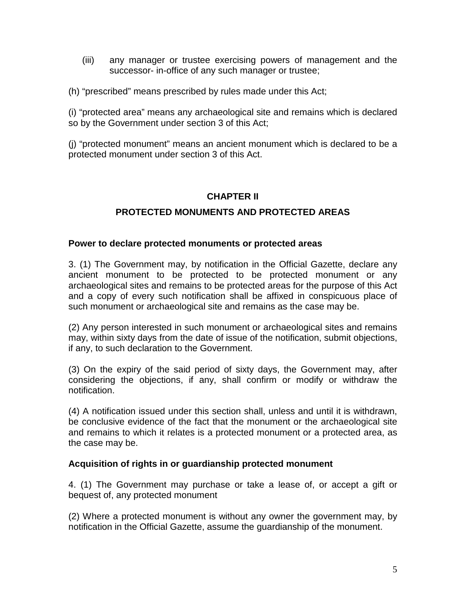- (iii) any manager or trustee exercising powers of management and the successor- in-office of any such manager or trustee;
- (h) "prescribed" means prescribed by rules made under this Act;

(i) "protected area" means any archaeological site and remains which is declared so by the Government under section 3 of this Act;

(j) "protected monument" means an ancient monument which is declared to be a protected monument under section 3 of this Act.

# **CHAPTER II**

### **PROTECTED MONUMENTS AND PROTECTED AREAS**

#### **Power to declare protected monuments or protected areas**

3. (1) The Government may, by notification in the Official Gazette, declare any ancient monument to be protected to be protected monument or any archaeological sites and remains to be protected areas for the purpose of this Act and a copy of every such notification shall be affixed in conspicuous place of such monument or archaeological site and remains as the case may be.

(2) Any person interested in such monument or archaeological sites and remains may, within sixty days from the date of issue of the notification, submit objections, if any, to such declaration to the Government.

(3) On the expiry of the said period of sixty days, the Government may, after considering the objections, if any, shall confirm or modify or withdraw the notification.

(4) A notification issued under this section shall, unless and until it is withdrawn, be conclusive evidence of the fact that the monument or the archaeological site and remains to which it relates is a protected monument or a protected area, as the case may be.

### **Acquisition of rights in or guardianship protected monument**

4. (1) The Government may purchase or take a lease of, or accept a gift or bequest of, any protected monument

(2) Where a protected monument is without any owner the government may, by notification in the Official Gazette, assume the guardianship of the monument.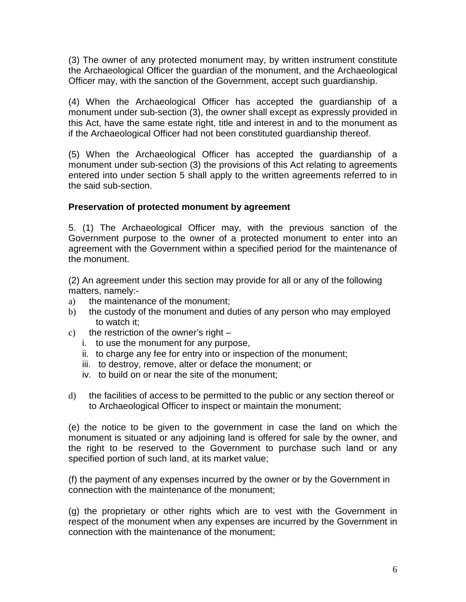(3) The owner of any protected monument may, by written instrument constitute the Archaeological Officer the guardian of the monument, and the Archaeological Officer may, with the sanction of the Government, accept such guardianship.

(4) When the Archaeological Officer has accepted the guardianship of a monument under sub-section (3), the owner shall except as expressly provided in this Act, have the same estate right, title and interest in and to the monument as if the Archaeological Officer had not been constituted guardianship thereof.

(5) When the Archaeological Officer has accepted the guardianship of a monument under sub-section (3) the provisions of this Act relating to agreements entered into under section 5 shall apply to the written agreements referred to in the said sub-section.

# **Preservation of protected monument by agreement**

5. (1) The Archaeological Officer may, with the previous sanction of the Government purpose to the owner of a protected monument to enter into an agreement with the Government within a specified period for the maintenance of the monument.

(2) An agreement under this section may provide for all or any of the following matters, namely:-

- a) the maintenance of the monument;
- b) the custody of the monument and duties of any person who may employed to watch it;
- c) the restriction of the owner's right  $$ 
	- i. to use the monument for any purpose,
	- ii. to charge any fee for entry into or inspection of the monument;
	- iii. to destroy, remove, alter or deface the monument; or
	- iv. to build on or near the site of the monument;
- d) the facilities of access to be permitted to the public or any section thereof or to Archaeological Officer to inspect or maintain the monument;

(e) the notice to be given to the government in case the land on which the monument is situated or any adjoining land is offered for sale by the owner, and the right to be reserved to the Government to purchase such land or any specified portion of such land, at its market value;

(f) the payment of any expenses incurred by the owner or by the Government in connection with the maintenance of the monument;

(g) the proprietary or other rights which are to vest with the Government in respect of the monument when any expenses are incurred by the Government in connection with the maintenance of the monument;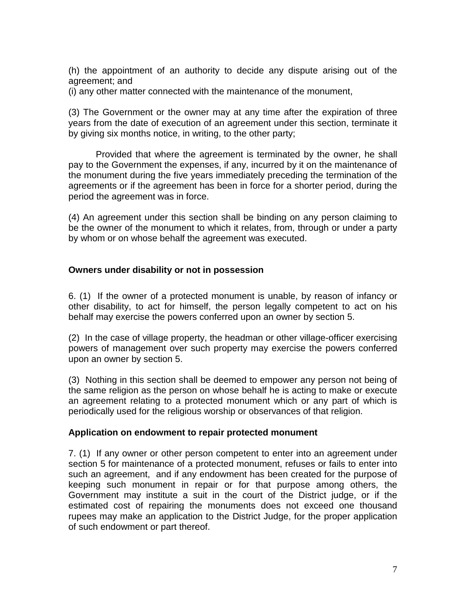(h) the appointment of an authority to decide any dispute arising out of the agreement; and

(i) any other matter connected with the maintenance of the monument,

(3) The Government or the owner may at any time after the expiration of three years from the date of execution of an agreement under this section, terminate it by giving six months notice, in writing, to the other party;

Provided that where the agreement is terminated by the owner, he shall pay to the Government the expenses, if any, incurred by it on the maintenance of the monument during the five years immediately preceding the termination of the agreements or if the agreement has been in force for a shorter period, during the period the agreement was in force.

(4) An agreement under this section shall be binding on any person claiming to be the owner of the monument to which it relates, from, through or under a party by whom or on whose behalf the agreement was executed.

### **Owners under disability or not in possession**

6. (1) If the owner of a protected monument is unable, by reason of infancy or other disability, to act for himself, the person legally competent to act on his behalf may exercise the powers conferred upon an owner by section 5.

(2) In the case of village property, the headman or other village-officer exercising powers of management over such property may exercise the powers conferred upon an owner by section 5.

(3) Nothing in this section shall be deemed to empower any person not being of the same religion as the person on whose behalf he is acting to make or execute an agreement relating to a protected monument which or any part of which is periodically used for the religious worship or observances of that religion.

### **Application on endowment to repair protected monument**

7. (1) If any owner or other person competent to enter into an agreement under section 5 for maintenance of a protected monument, refuses or fails to enter into such an agreement, and if any endowment has been created for the purpose of keeping such monument in repair or for that purpose among others, the Government may institute a suit in the court of the District judge, or if the estimated cost of repairing the monuments does not exceed one thousand rupees may make an application to the District Judge, for the proper application of such endowment or part thereof.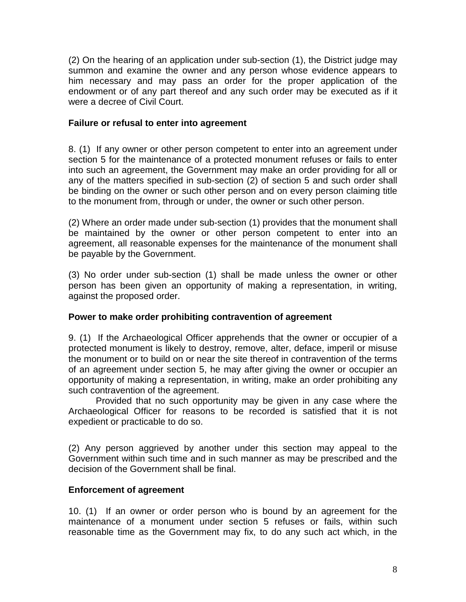(2) On the hearing of an application under sub-section (1), the District judge may summon and examine the owner and any person whose evidence appears to him necessary and may pass an order for the proper application of the endowment or of any part thereof and any such order may be executed as if it were a decree of Civil Court.

## **Failure or refusal to enter into agreement**

8. (1) If any owner or other person competent to enter into an agreement under section 5 for the maintenance of a protected monument refuses or fails to enter into such an agreement, the Government may make an order providing for all or any of the matters specified in sub-section (2) of section 5 and such order shall be binding on the owner or such other person and on every person claiming title to the monument from, through or under, the owner or such other person.

(2) Where an order made under sub-section (1) provides that the monument shall be maintained by the owner or other person competent to enter into an agreement, all reasonable expenses for the maintenance of the monument shall be payable by the Government.

(3) No order under sub-section (1) shall be made unless the owner or other person has been given an opportunity of making a representation, in writing, against the proposed order.

# **Power to make order prohibiting contravention of agreement**

9. (1) If the Archaeological Officer apprehends that the owner or occupier of a protected monument is likely to destroy, remove, alter, deface, imperil or misuse the monument or to build on or near the site thereof in contravention of the terms of an agreement under section 5, he may after giving the owner or occupier an opportunity of making a representation, in writing, make an order prohibiting any such contravention of the agreement.

Provided that no such opportunity may be given in any case where the Archaeological Officer for reasons to be recorded is satisfied that it is not expedient or practicable to do so.

(2) Any person aggrieved by another under this section may appeal to the Government within such time and in such manner as may be prescribed and the decision of the Government shall be final.

### **Enforcement of agreement**

10. (1) If an owner or order person who is bound by an agreement for the maintenance of a monument under section 5 refuses or fails, within such reasonable time as the Government may fix, to do any such act which, in the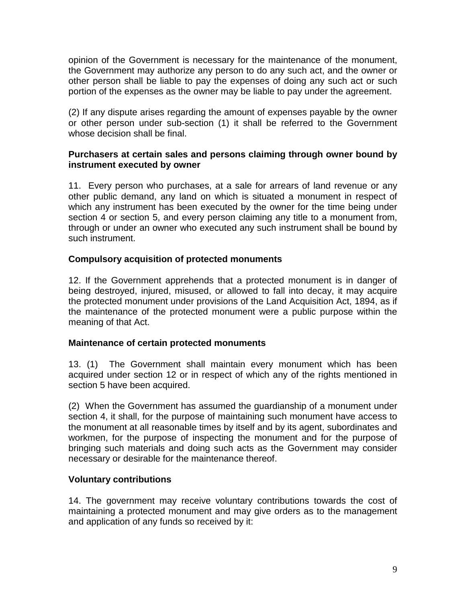opinion of the Government is necessary for the maintenance of the monument, the Government may authorize any person to do any such act, and the owner or other person shall be liable to pay the expenses of doing any such act or such portion of the expenses as the owner may be liable to pay under the agreement.

(2) If any dispute arises regarding the amount of expenses payable by the owner or other person under sub-section (1) it shall be referred to the Government whose decision shall be final.

## **Purchasers at certain sales and persons claiming through owner bound by instrument executed by owner**

11. Every person who purchases, at a sale for arrears of land revenue or any other public demand, any land on which is situated a monument in respect of which any instrument has been executed by the owner for the time being under section 4 or section 5, and every person claiming any title to a monument from, through or under an owner who executed any such instrument shall be bound by such instrument.

# **Compulsory acquisition of protected monuments**

12. If the Government apprehends that a protected monument is in danger of being destroyed, injured, misused, or allowed to fall into decay, it may acquire the protected monument under provisions of the Land Acquisition Act, 1894, as if the maintenance of the protected monument were a public purpose within the meaning of that Act.

### **Maintenance of certain protected monuments**

13. (1) The Government shall maintain every monument which has been acquired under section 12 or in respect of which any of the rights mentioned in section 5 have been acquired.

(2) When the Government has assumed the guardianship of a monument under section 4, it shall, for the purpose of maintaining such monument have access to the monument at all reasonable times by itself and by its agent, subordinates and workmen, for the purpose of inspecting the monument and for the purpose of bringing such materials and doing such acts as the Government may consider necessary or desirable for the maintenance thereof.

### **Voluntary contributions**

14. The government may receive voluntary contributions towards the cost of maintaining a protected monument and may give orders as to the management and application of any funds so received by it: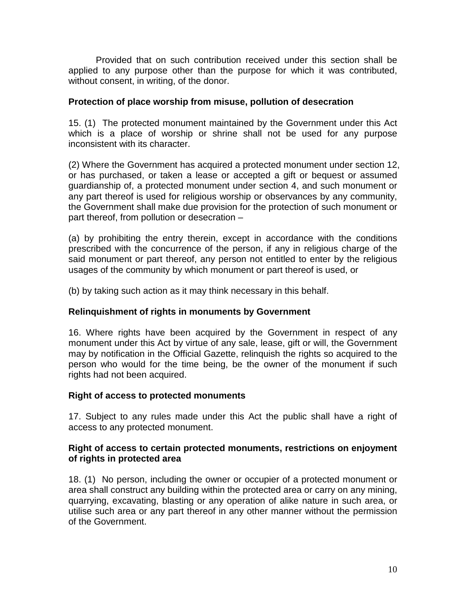Provided that on such contribution received under this section shall be applied to any purpose other than the purpose for which it was contributed, without consent, in writing, of the donor.

## **Protection of place worship from misuse, pollution of desecration**

15. (1) The protected monument maintained by the Government under this Act which is a place of worship or shrine shall not be used for any purpose inconsistent with its character.

(2) Where the Government has acquired a protected monument under section 12, or has purchased, or taken a lease or accepted a gift or bequest or assumed guardianship of, a protected monument under section 4, and such monument or any part thereof is used for religious worship or observances by any community, the Government shall make due provision for the protection of such monument or part thereof, from pollution or desecration –

(a) by prohibiting the entry therein, except in accordance with the conditions prescribed with the concurrence of the person, if any in religious charge of the said monument or part thereof, any person not entitled to enter by the religious usages of the community by which monument or part thereof is used, or

(b) by taking such action as it may think necessary in this behalf.

# **Relinquishment of rights in monuments by Government**

16. Where rights have been acquired by the Government in respect of any monument under this Act by virtue of any sale, lease, gift or will, the Government may by notification in the Official Gazette, relinquish the rights so acquired to the person who would for the time being, be the owner of the monument if such rights had not been acquired.

### **Right of access to protected monuments**

17. Subject to any rules made under this Act the public shall have a right of access to any protected monument.

### **Right of access to certain protected monuments, restrictions on enjoyment of rights in protected area**

18. (1) No person, including the owner or occupier of a protected monument or area shall construct any building within the protected area or carry on any mining, quarrying, excavating, blasting or any operation of alike nature in such area, or utilise such area or any part thereof in any other manner without the permission of the Government.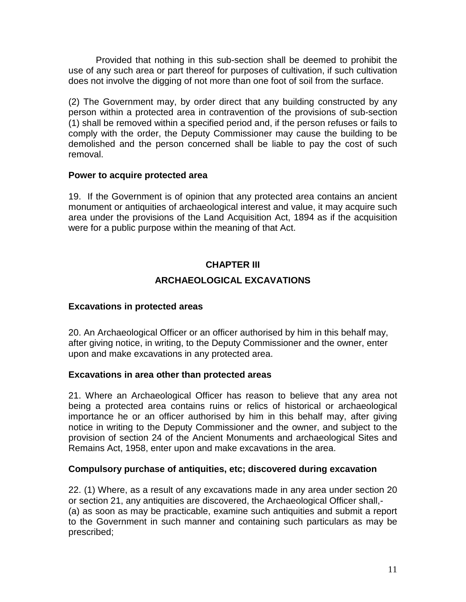Provided that nothing in this sub-section shall be deemed to prohibit the use of any such area or part thereof for purposes of cultivation, if such cultivation does not involve the digging of not more than one foot of soil from the surface.

(2) The Government may, by order direct that any building constructed by any person within a protected area in contravention of the provisions of sub-section (1) shall be removed within a specified period and, if the person refuses or fails to comply with the order, the Deputy Commissioner may cause the building to be demolished and the person concerned shall be liable to pay the cost of such removal.

### **Power to acquire protected area**

19. If the Government is of opinion that any protected area contains an ancient monument or antiquities of archaeological interest and value, it may acquire such area under the provisions of the Land Acquisition Act, 1894 as if the acquisition were for a public purpose within the meaning of that Act.

# **CHAPTER III ARCHAEOLOGICAL EXCAVATIONS**

# **Excavations in protected areas**

20. An Archaeological Officer or an officer authorised by him in this behalf may, after giving notice, in writing, to the Deputy Commissioner and the owner, enter upon and make excavations in any protected area.

### **Excavations in area other than protected areas**

21. Where an Archaeological Officer has reason to believe that any area not being a protected area contains ruins or relics of historical or archaeological importance he or an officer authorised by him in this behalf may, after giving notice in writing to the Deputy Commissioner and the owner, and subject to the provision of section 24 of the Ancient Monuments and archaeological Sites and Remains Act, 1958, enter upon and make excavations in the area.

### **Compulsory purchase of antiquities, etc; discovered during excavation**

22. (1) Where, as a result of any excavations made in any area under section 20 or section 21, any antiquities are discovered, the Archaeological Officer shall,- (a) as soon as may be practicable, examine such antiquities and submit a report to the Government in such manner and containing such particulars as may be prescribed;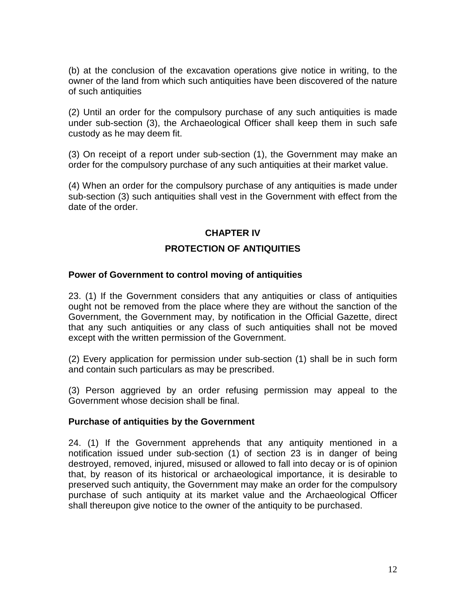(b) at the conclusion of the excavation operations give notice in writing, to the owner of the land from which such antiquities have been discovered of the nature of such antiquities

(2) Until an order for the compulsory purchase of any such antiquities is made under sub-section (3), the Archaeological Officer shall keep them in such safe custody as he may deem fit.

(3) On receipt of a report under sub-section (1), the Government may make an order for the compulsory purchase of any such antiquities at their market value.

(4) When an order for the compulsory purchase of any antiquities is made under sub-section (3) such antiquities shall vest in the Government with effect from the date of the order.

### **CHAPTER IV**

## **PROTECTION OF ANTIQUITIES**

### **Power of Government to control moving of antiquities**

23. (1) If the Government considers that any antiquities or class of antiquities ought not be removed from the place where they are without the sanction of the Government, the Government may, by notification in the Official Gazette, direct that any such antiquities or any class of such antiquities shall not be moved except with the written permission of the Government.

(2) Every application for permission under sub-section (1) shall be in such form and contain such particulars as may be prescribed.

(3) Person aggrieved by an order refusing permission may appeal to the Government whose decision shall be final.

### **Purchase of antiquities by the Government**

24. (1) If the Government apprehends that any antiquity mentioned in a notification issued under sub-section (1) of section 23 is in danger of being destroyed, removed, injured, misused or allowed to fall into decay or is of opinion that, by reason of its historical or archaeological importance, it is desirable to preserved such antiquity, the Government may make an order for the compulsory purchase of such antiquity at its market value and the Archaeological Officer shall thereupon give notice to the owner of the antiquity to be purchased.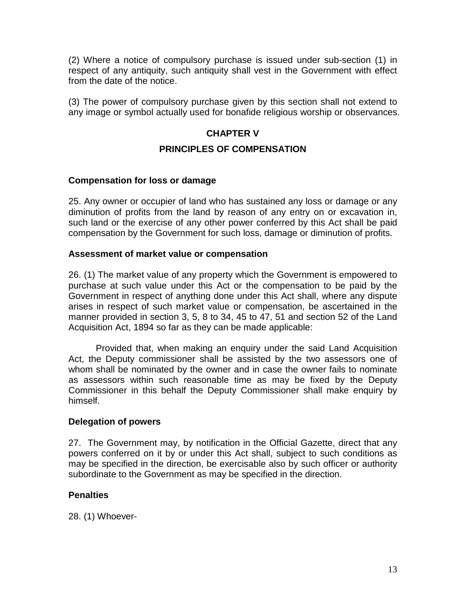(2) Where a notice of compulsory purchase is issued under sub-section (1) in respect of any antiquity, such antiquity shall vest in the Government with effect from the date of the notice.

(3) The power of compulsory purchase given by this section shall not extend to any image or symbol actually used for bonafide religious worship or observances.

# **CHAPTER V**

## **PRINCIPLES OF COMPENSATION**

### **Compensation for loss or damage**

25. Any owner or occupier of land who has sustained any loss or damage or any diminution of profits from the land by reason of any entry on or excavation in, such land or the exercise of any other power conferred by this Act shall be paid compensation by the Government for such loss, damage or diminution of profits.

#### **Assessment of market value or compensation**

26. (1) The market value of any property which the Government is empowered to purchase at such value under this Act or the compensation to be paid by the Government in respect of anything done under this Act shall, where any dispute arises in respect of such market value or compensation, be ascertained in the manner provided in section 3, 5, 8 to 34, 45 to 47, 51 and section 52 of the Land Acquisition Act, 1894 so far as they can be made applicable:

Provided that, when making an enquiry under the said Land Acquisition Act, the Deputy commissioner shall be assisted by the two assessors one of whom shall be nominated by the owner and in case the owner fails to nominate as assessors within such reasonable time as may be fixed by the Deputy Commissioner in this behalf the Deputy Commissioner shall make enquiry by himself.

### **Delegation of powers**

27. The Government may, by notification in the Official Gazette, direct that any powers conferred on it by or under this Act shall, subject to such conditions as may be specified in the direction, be exercisable also by such officer or authority subordinate to the Government as may be specified in the direction.

### **Penalties**

28. (1) Whoever-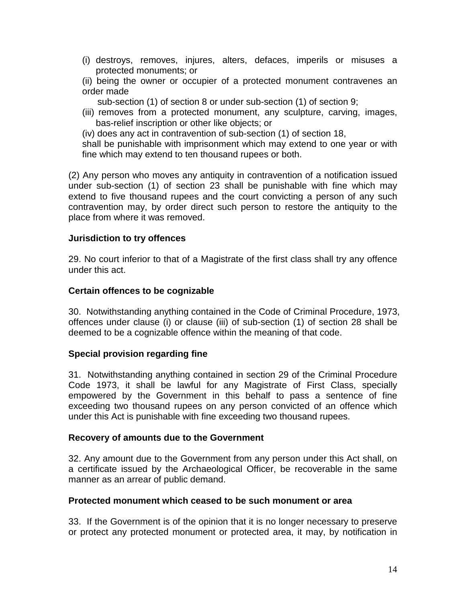(i) destroys, removes, injures, alters, defaces, imperils or misuses a protected monuments; or

(ii) being the owner or occupier of a protected monument contravenes an order made

sub-section (1) of section 8 or under sub-section (1) of section 9;

(iii) removes from a protected monument, any sculpture, carving, images, bas-relief inscription or other like objects; or

(iv) does any act in contravention of sub-section (1) of section 18,

shall be punishable with imprisonment which may extend to one year or with fine which may extend to ten thousand rupees or both.

(2) Any person who moves any antiquity in contravention of a notification issued under sub-section (1) of section 23 shall be punishable with fine which may extend to five thousand rupees and the court convicting a person of any such contravention may, by order direct such person to restore the antiquity to the place from where it was removed.

## **Jurisdiction to try offences**

29. No court inferior to that of a Magistrate of the first class shall try any offence under this act.

### **Certain offences to be cognizable**

30. Notwithstanding anything contained in the Code of Criminal Procedure, 1973, offences under clause (i) or clause (iii) of sub-section (1) of section 28 shall be deemed to be a cognizable offence within the meaning of that code.

### **Special provision regarding fine**

31. Notwithstanding anything contained in section 29 of the Criminal Procedure Code 1973, it shall be lawful for any Magistrate of First Class, specially empowered by the Government in this behalf to pass a sentence of fine exceeding two thousand rupees on any person convicted of an offence which under this Act is punishable with fine exceeding two thousand rupees.

### **Recovery of amounts due to the Government**

32. Any amount due to the Government from any person under this Act shall, on a certificate issued by the Archaeological Officer, be recoverable in the same manner as an arrear of public demand.

### **Protected monument which ceased to be such monument or area**

33. If the Government is of the opinion that it is no longer necessary to preserve or protect any protected monument or protected area, it may, by notification in